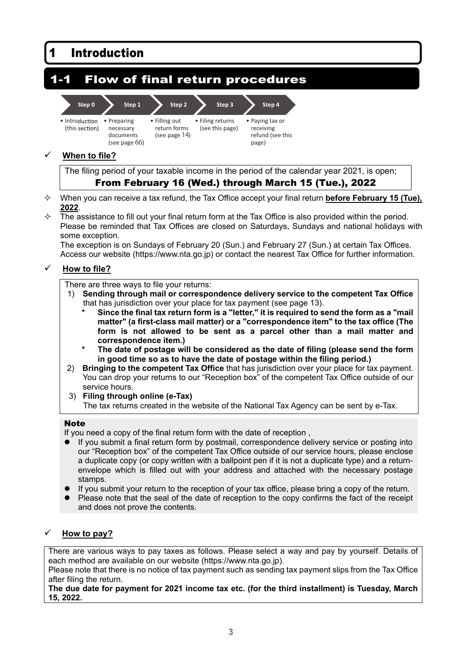#### 1 Introduction 1-1 Flow of final return procedures **Step 0** • Introduction (this section) **Step 1** • Preparing necessary documents (see page 66) **Step 2** • Filling out return forms (see page 14) **Step 3** • Filing returns (see this page) **Step 4** • Paying tax or receiving refund (see this page)

# **When to file?**

The filing period of your taxable income in the period of the calendar year 2021, is open; From February 16 (Wed.) through March 15 (Tue.), 2022

- When you can receive a tax refund, the Tax Office accept your final return **before February 15 (Tue), 2022**.
- $\Diamond$  The assistance to fill out your final return form at the Tax Office is also provided within the period. Please be reminded that Tax Offices are closed on Saturdays, Sundays and national holidays with some exception.

The exception is on Sundays of February 20 (Sun.) and February 27 (Sun.) at certain Tax Offices. Access our website (https://www.nta.go.jp) or contact the nearest Tax Office for further information.

# **How to file?**

## There are three ways to file your returns:

- 1) **Sending through mail or correspondence delivery service to the competent Tax Office** that has jurisdiction over your place for tax payment (see page 13).
	- Since the final tax return form is a "letter," it is required to send the form as a "mail **matter" (a first-class mail matter) or a "correspondence item" to the tax office (The form is not allowed to be sent as a parcel other than a mail matter and correspondence item.)**
	- **\* The date of postage will be considered as the date of filing (please send the form in good time so as to have the date of postage within the filing period.)**
- 2) **Bringing to the competent Tax Office** that has jurisdiction over your place for tax payment. You can drop your returns to our "Reception box" of the competent Tax Office outside of our service hours.
- 3) **Filing through online (e-Tax)**  The tax returns created in the website of the National Tax Agency can be sent by e-Tax.

## **Note**

If you need a copy of the final return form with the date of reception ,

- If you submit a final return form by postmail, correspondence delivery service or posting into our "Reception box" of the competent Tax Office outside of our service hours, please enclose a duplicate copy (or copy written with a ballpoint pen if it is not a duplicate type) and a returnenvelope which is filled out with your address and attached with the necessary postage stamps.
- If you submit your return to the reception of your tax office, please bring a copy of the return.
- Please note that the seal of the date of reception to the copy confirms the fact of the receipt and does not prove the contents.

# **How to pay?**

There are various ways to pay taxes as follows. Please select a way and pay by yourself. Details of each method are available on our website (https://www.nta.go.jp).

Please note that there is no notice of tax payment such as sending tax payment slips from the Tax Office after filing the return.

**The due date for payment for 2021 income tax etc. (for the third installment) is Tuesday, March 15, 2022.**